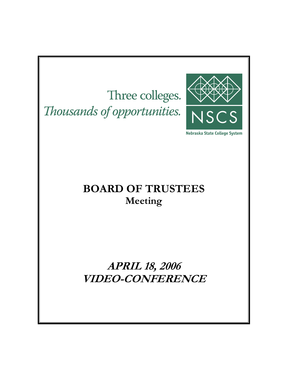Three colleges. Thousands of opportunities.



Nebraska State College System

## **BOARD OF TRUSTEES Meeting**

**APRIL 18, 2006 VIDEO-CONFERENCE**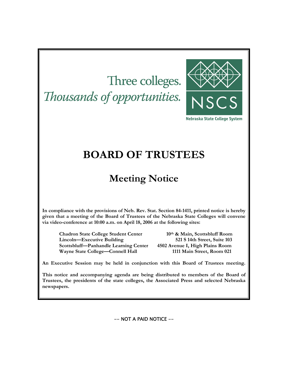# Three colleges. Thousands of opportunities.



Nebraska State College System

## **BOARD OF TRUSTEES**

## **Meeting Notice**

**In compliance with the provisions of Neb. Rev. Stat. Section 84-1411, printed notice is hereby given that a meeting of the Board of Trustees of the Nebraska State Colleges will convene via video-conference at 10:00 a.m. on April 18, 2006 at the following sites:** 

**Chadron State College Student Center 10th & Main, Scottsbluff Room Lincoln—Executive Building 521 S 14th Street, Suite 103 Scottsbluff—Panhandle Learning Center 4502 Avenue I, High Plains Room Wayne State College—Connell Hall 1111 Main Street, Room 021** 

**An Executive Session may be held in conjunction with this Board of Trustees meeting.** 

**This notice and accompanying agenda are being distributed to members of the Board of Trustees, the presidents of the state colleges, the Associated Press and selected Nebraska newspapers.** 

-- NOT A PAID NOTICE --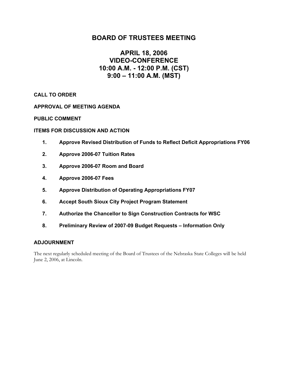### **BOARD OF TRUSTEES MEETING**

### **APRIL 18, 2006 VIDEO-CONFERENCE 10:00 A.M. - 12:00 P.M. (CST) 9:00 – 11:00 A.M. (MST)**

**CALL TO ORDER** 

**APPROVAL OF MEETING AGENDA**

**PUBLIC COMMENT** 

#### **ITEMS FOR DISCUSSION AND ACTION**

- **1. Approve Revised Distribution of Funds to Reflect Deficit Appropriations FY06**
- **2. Approve 2006-07 Tuition Rates**
- **3. Approve 2006-07 Room and Board**
- **4. Approve 2006-07 Fees**
- **5. Approve Distribution of Operating Appropriations FY07**
- **6. Accept South Sioux City Project Program Statement**
- **7. Authorize the Chancellor to Sign Construction Contracts for WSC**
- **8. Preliminary Review of 2007-09 Budget Requests Information Only**

#### **ADJOURNMENT**

The next regularly scheduled meeting of the Board of Trustees of the Nebraska State Colleges will be held June 2, 2006, at Lincoln.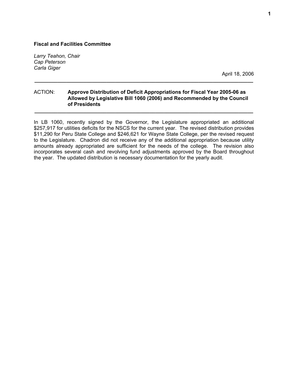*Larry Teahon, Chair Cap Peterson Carla Giger* 

April 18, 2006

#### ACTION: **Approve Distribution of Deficit Appropriations for Fiscal Year 2005-06 as Allowed by Legislative Bill 1060 (2006) and Recommended by the Council of Presidents**

**\_\_\_\_\_\_\_\_\_\_\_\_\_\_\_\_\_\_\_\_\_\_\_\_\_\_\_\_\_\_\_\_\_\_\_\_\_\_\_\_\_\_\_\_\_\_\_\_\_\_\_\_\_\_\_\_\_\_\_\_\_\_\_\_\_\_\_\_\_\_\_\_\_\_\_\_** 

**\_\_\_\_\_\_\_\_\_\_\_\_\_\_\_\_\_\_\_\_\_\_\_\_\_\_\_\_\_\_\_\_\_\_\_\_\_\_\_\_\_\_\_\_\_\_\_\_\_\_\_\_\_\_\_\_\_\_\_\_\_\_\_\_\_\_\_\_\_\_\_\_\_\_\_\_** 

In LB 1060, recently signed by the Governor, the Legislature appropriated an additional \$257,917 for utilities deficits for the NSCS for the current year. The revised distribution provides \$11,290 for Peru State College and \$246,621 for Wayne State College, per the revised request to the Legislature. Chadron did not receive any of the additional appropriation because utility amounts already appropriated are sufficient for the needs of the college. The revision also incorporates several cash and revolving fund adjustments approved by the Board throughout the year. The updated distribution is necessary documentation for the yearly audit.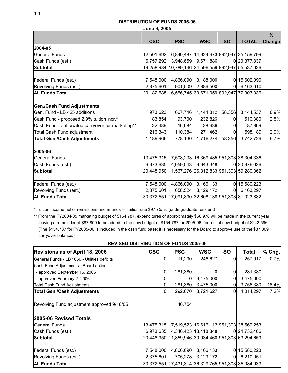#### **DISTRIBUTION OF FUNDS 2005-06**

**June 9, 2005** 

|                                                   |            |            |                     |                |                                                     | $\frac{9}{6}$ |
|---------------------------------------------------|------------|------------|---------------------|----------------|-----------------------------------------------------|---------------|
|                                                   | <b>CSC</b> | <b>PSC</b> | <b>WSC</b>          | <b>SO</b>      | <b>TOTAL</b>                                        | <b>Change</b> |
| 2004-05                                           |            |            |                     |                |                                                     |               |
| <b>General Funds</b>                              | 12,501,692 |            |                     |                | 6,840,487 14,924,673 892,947 35,159,799             |               |
| Cash Funds (est.)                                 | 6,757,292  |            | 3,948,659 9,671,886 |                | 0 20, 377, 837                                      |               |
| Subtotal                                          |            |            |                     |                | 19,258,984 10,789,146 24,596,559 892,947 55,537,636 |               |
|                                                   |            |            |                     |                |                                                     |               |
| Federal Funds (est.)                              | 7,548,000  |            | 4,866,090 3,188,000 |                | 0 15,602,090                                        |               |
| Revolving Funds (est.)                            | 2,375,601  |            | 901,509 2,886,500   | $\Omega$       | 6,163,610                                           |               |
| <b>All Funds Total</b>                            |            |            |                     |                | 29,182,585 16,556,745 30,671,059 892,947 77,303,336 |               |
|                                                   |            |            |                     |                |                                                     |               |
| <b>Gen./Cash Fund Adjustments</b>                 |            |            |                     |                |                                                     |               |
| Gen. Fund - LB 425 additions                      | 973,623    | 667,746    | 1,444,812           | 58,356         | 3,144,537                                           | 8.9%          |
| Cash Fund - proposed 2.9% tuition incr.*          | 183,854    | 93,700     | 232,826             | 0              | 510,380                                             | 2.5%          |
| Cash Fund - anticipated carryover for marketing** | 32,489     | 16,684     | 38,636              | $\Omega$       | 87,809                                              |               |
| Total Cash Fund adjustment                        | 216,343    | 110,384    | 271,462             | $\Omega$       | 598,189                                             | 2.9%          |
| <b>Total Gen./Cash Adjustments</b>                | 1,189,966  | 778,130    | 1,716,274           | 58,356         | 3,742,726                                           | 6.7%          |
|                                                   |            |            |                     |                |                                                     |               |
| 2005-06                                           |            |            |                     |                |                                                     |               |
| <b>General Funds</b>                              |            |            |                     |                | 13,475,315 7,508,233 16,369,485 951,303 38,304,336  |               |
| Cash Funds (est.)                                 | 6,973,635  |            | 4,059,043 9,943,348 |                | 0 20,976,026                                        |               |
| <b>Subtotal</b>                                   |            |            |                     |                | 20,448,950 11,567,276 26,312,833 951,303 59,280,362 |               |
|                                                   |            |            |                     |                |                                                     |               |
| Federal Funds (est.)                              | 7,548,000  |            | 4,866,090 3,166,133 |                | 0 15,580,223                                        |               |
| Revolving Funds (est.)                            | 2,375,601  |            | 658,524 3,129,172   | $\overline{0}$ | 6,163,297                                           |               |
| <b>All Funds Total</b>                            |            |            |                     |                | 30,372,551 17,091,890 32,608,138 951,303 81,023,882 |               |

\* Tuition income net of remissions and refunds -- Tuition rate \$97.75/hr. (undergraduate resident)

\*\* From the FY2004-05 marketing budget of \$154,787, expenditures of approximately \$66,978 will be made in the current year, leaving a remainder of \$87,809 to be added to the new budget of \$154,787 for 2005-06, for a total new budget of \$242,596. (The \$154,787 for FY2005-06 is included in the cash fund base; it is necessary for the Board to approve use of the \$87,809 carryover balance.)

| <b>REVISED DISTRIBUTION OF FUNDS 2005-06</b> |
|----------------------------------------------|
|----------------------------------------------|

| <b>Revisions as of April 18, 2006</b>        | <b>CSC</b> | <b>PSC</b> | <b>WSC</b>           | <b>SO</b> | <b>Total</b>                                        | $%$ Chg. |
|----------------------------------------------|------------|------------|----------------------|-----------|-----------------------------------------------------|----------|
| General Funds - LB 1060 - Utilities deficits | 01         | 11,290     | 246,627              | 0         | 257,917                                             | 0.7%     |
| Cash Fund Adjustments - Board action         |            |            |                      |           |                                                     |          |
| - approved September 16, 2005                | 0          | 281,380    |                      |           | 281,380                                             |          |
| - approved February 2, 2006                  | 0          | 0          | 3,475,000            |           | 3,475,000                                           |          |
| Total Cash Fund Adjustments                  | 01         | 281,380    | 3,475,000            |           | 3,756,380                                           | 18.4%    |
| <b>Total Gen./Cash Adjustments</b>           | 01         | 292,670    | 3,721,627            |           | 4,014,297                                           | 7.2%     |
|                                              |            |            |                      |           |                                                     |          |
| Revolving Fund adjustment approved 9/16/05   |            | 46,754     |                      |           |                                                     |          |
|                                              |            |            |                      |           |                                                     |          |
| 2005-06 Revised Totals                       |            |            |                      |           |                                                     |          |
| <b>General Funds</b>                         | 13,475,315 |            |                      |           | 7,519,523 16,616,112 951,303 38,562,253             |          |
| Cash Funds (est.)                            | 6,973,635  |            | 4,340,423 13,418,348 |           | 0 24,732,406                                        |          |
| Subtotal                                     |            |            |                      |           | 20,448,950 11,859,946 30,034,460 951,303 63,294,659 |          |
|                                              |            |            |                      |           |                                                     |          |
| Federal Funds (est.)                         | 7,548,000  | 4,866,090  | 3,166,133            |           | 0 15,580,223                                        |          |
| Revolving Funds (est.)                       | 2,375,601  | 705,278    | 3,129,172            | $\Omega$  | 6,210,051                                           |          |
| <b>All Funds Total</b>                       |            |            |                      |           | 30,372,551 17,431,314 36,329,765 951,303 85,084,933 |          |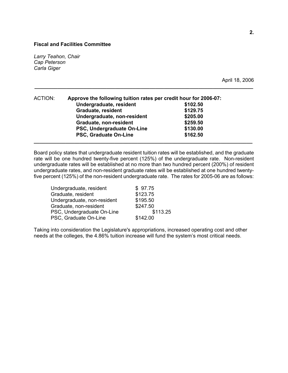*Larry Teahon, Chair Cap Peterson Carla Giger* 

April 18, 2006

| ACTION: | Approve the following tuition rates per credit hour for 2006-07: |          |  |  |  |  |  |
|---------|------------------------------------------------------------------|----------|--|--|--|--|--|
|         | Undergraduate, resident                                          | \$102.50 |  |  |  |  |  |
|         | <b>Graduate, resident</b>                                        | \$129.75 |  |  |  |  |  |
|         | Undergraduate, non-resident                                      | \$205.00 |  |  |  |  |  |
|         | Graduate, non-resident                                           | \$259.50 |  |  |  |  |  |
|         | PSC, Undergraduate On-Line                                       | \$130.00 |  |  |  |  |  |
|         | PSC, Graduate On-Line                                            | \$162.50 |  |  |  |  |  |
|         |                                                                  |          |  |  |  |  |  |

Board policy states that undergraduate resident tuition rates will be established, and the graduate rate will be one hundred twenty-five percent (125%) of the undergraduate rate. Non-resident undergraduate rates will be established at no more than two hundred percent (200%) of resident undergraduate rates, and non-resident graduate rates will be established at one hundred twentyfive percent (125%) of the non-resident undergraduate rate. The rates for 2005-06 are as follows:

**\_\_\_\_\_\_\_\_\_\_\_\_\_\_\_\_\_\_\_\_\_\_\_\_\_\_\_\_\_\_\_\_\_\_\_\_\_\_\_\_\_\_\_\_\_\_\_\_\_\_\_\_\_\_\_\_\_\_\_\_\_\_\_\_\_\_\_\_\_\_\_\_\_\_\_\_** 

| \$97.75  |
|----------|
| \$123.75 |
| \$195.50 |
| \$247.50 |
| \$113.25 |
| \$142.00 |
|          |

Taking into consideration the Legislature's appropriations, increased operating cost and other needs at the colleges, the 4.86% tuition increase will fund the system's most critical needs.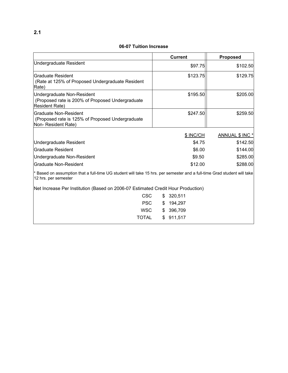#### **06-07 Tuition Increase**

|                                                                                                                                                 |     | <b>Current</b> | <b>Proposed</b> |
|-------------------------------------------------------------------------------------------------------------------------------------------------|-----|----------------|-----------------|
| <b>Undergraduate Resident</b>                                                                                                                   |     | \$97.75        | \$102.50        |
| Graduate Resident<br>(Rate at 125% of Proposed Undergraduate Resident<br>Rate)                                                                  |     | \$123.75       | \$129.75        |
| Undergraduate Non-Resident<br>(Proposed rate is 200% of Proposed Undergraduate)<br><b>Resident Rate)</b>                                        |     | \$195.50       | \$205.00        |
| lGraduate Non-Resident<br>(Proposed rate is 125% of Proposed Undergraduate<br>Non-Resident Rate)                                                |     | \$247.50       | \$259.50        |
|                                                                                                                                                 |     | \$ INC/CH      | ANNUAL \$ INC * |
| <b>Undergraduate Resident</b>                                                                                                                   |     | \$4.75         | \$142.50        |
| Graduate Resident                                                                                                                               |     | \$6.00         | \$144.00        |
| Undergraduate Non-Resident                                                                                                                      |     | \$9.50         | \$285.00        |
| Graduate Non-Resident                                                                                                                           |     | \$12.00        | \$288.00        |
| * Based on assumption that a full-time UG student will take 15 hrs. per semester and a full-time Grad student will take<br>12 hrs. per semester |     |                |                 |
| Net Increase Per Institution (Based on 2006-07 Estimated Credit Hour Production)                                                                |     |                |                 |
| <b>CSC</b>                                                                                                                                      | \$. | 320,511        |                 |
| <b>PSC</b>                                                                                                                                      | \$  | 194,297        |                 |
| <b>WSC</b>                                                                                                                                      | S   | 396,709        |                 |
| TOTAL                                                                                                                                           | \$  | 911,517        |                 |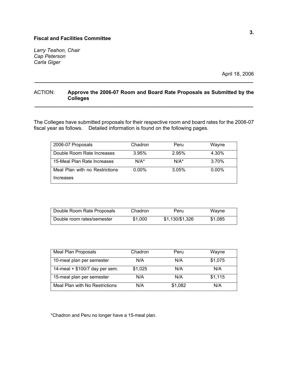*Larry Teahon, Chair Cap Peterson Carla Giger* 

April 18, 2006

#### ACTION: **Approve the 2006-07 Room and Board Rate Proposals as Submitted by the Colleges \_\_\_\_\_\_\_\_\_\_\_\_\_\_\_\_\_\_\_\_\_\_\_\_\_\_\_\_\_\_\_\_\_\_\_\_\_\_\_\_\_\_\_\_\_\_\_\_\_\_\_\_\_\_\_\_\_\_\_\_\_\_\_\_\_\_\_\_\_\_\_\_\_\_\_\_**

**\_\_\_\_\_\_\_\_\_\_\_\_\_\_\_\_\_\_\_\_\_\_\_\_\_\_\_\_\_\_\_\_\_\_\_\_\_\_\_\_\_\_\_\_\_\_\_\_\_\_\_\_\_\_\_\_\_\_\_\_\_\_\_\_\_\_\_\_\_\_\_\_\_\_\_\_** 

The Colleges have submitted proposals for their respective room and board rates for the 2006-07 fiscal year as follows. Detailed information is found on the following pages.

| 2006-07 Proposals              | Chadron  | Peru     | Wayne    |
|--------------------------------|----------|----------|----------|
| Double Room Rate Increases     | 3.95%    | 2.95%    | 4.30%    |
| 15-Meal Plan Rate Increases    | $N/A^*$  | $N/A^*$  | 3.70%    |
| Meal Plan with no Restrictions | $0.00\%$ | $3.05\%$ | $0.00\%$ |
| Increases                      |          |          |          |

| Double Room Rate Proposals | Chadron | Peru            | Wayne   |
|----------------------------|---------|-----------------|---------|
| Double room rates/semester | \$1,000 | \$1,130/\$1,326 | \$1.085 |

| <b>Meal Plan Proposals</b>     | Chadron | Peru    | Wayne   |
|--------------------------------|---------|---------|---------|
| 10-meal plan per semester      | N/A     | N/A     | \$1,075 |
| 14-meal + \$100/7 day per sem. | \$1,025 | N/A     | N/A     |
| 15-meal plan per semester      | N/A     | N/A     | \$1,115 |
| Meal Plan with No Restrictions | N/A     | \$1,082 | N/A     |

\*Chadron and Peru no longer have a 15-meal plan.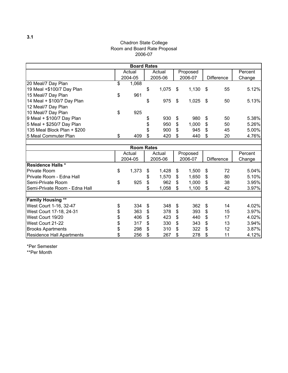#### Chadron State College Room and Board Rate Proposal 2006-07

|                               | <b>Board Rates</b> |             |             |                |                   |         |
|-------------------------------|--------------------|-------------|-------------|----------------|-------------------|---------|
|                               | Actual             | Actual      | Proposed    |                |                   | Percent |
|                               | 2004-05            | 2005-06     | 2006-07     |                | <b>Difference</b> | Change  |
| 20 Meal/7 Day Plan            | \$<br>1,068        |             |             |                |                   |         |
| 19 Meal +\$100/7 Day Plan     |                    | \$<br>1,075 | \$<br>1,130 | \$             | 55                | 5.12%   |
| 15 Meal/7 Day Plan            | \$<br>961          |             |             |                |                   |         |
| 14 Meal + \$100/7 Day Plan    |                    | \$<br>975   | \$<br>1,025 | \$             | 50                | 5.13%   |
| 12 Meal/7 Day Plan            |                    |             |             |                |                   |         |
| 10 Meal/7 Day Plan            | \$<br>925          |             |             |                |                   |         |
| 9 Meal + \$100/7 Day Plan     |                    | \$<br>930   | \$<br>980   | \$             | 50                | 5.38%   |
| 5 Meal + \$250/7 Day Plan     |                    | \$<br>950   | \$<br>1,000 | \$             | 50                | 5.26%   |
| 135 Meal Block Plan + \$200   |                    | \$<br>900   | \$<br>945   | \$             | 45                | 5.00%   |
| 5 Meal Commuter Plan          | \$<br>409          | \$<br>420   | \$<br>440   | \$             | 20                | 4.76%   |
|                               |                    |             |             |                |                   |         |
|                               | <b>Room Rates</b>  |             |             |                |                   |         |
|                               | Actual             | Actual      | Proposed    |                |                   | Percent |
|                               | 2004-05            | 2005-06     | 2006-07     |                | <b>Difference</b> | Change  |
| <b>Residence Halls *</b>      |                    |             |             |                |                   |         |
| <b>Private Room</b>           | \$<br>1,373        | \$<br>1,428 | \$<br>1,500 | \$             | 72                | 5.04%   |
| Private Room - Edna Hall      |                    | \$<br>1,570 | \$<br>1,650 | \$             | 80                | 5.10%   |
| Semi-Private Room             | \$<br>925          | \$<br>962   | \$<br>1,000 | \$             | 38                | 3.95%   |
| Semi-Private Room - Edna Hall |                    | \$<br>1,058 | \$<br>1,100 | \$             | 42                | 3.97%   |
| <b>Family Housing **</b>      |                    |             |             |                |                   |         |
| West Court 1-16, 32-47        | 334                | 348         | 362         | \$             | 14                | 4.02%   |
|                               | \$                 | \$          | \$          |                |                   | 3.97%   |
| West Court 17-18, 24-31       | \$<br>363          | \$<br>378   | \$<br>393   | \$             | 15                |         |
| West Court 19/20              | \$<br>406          | \$<br>423   | \$<br>440   | \$             | 17                | 4.02%   |
| West Court 21-22              | \$<br>317          | \$<br>330   | \$<br>343   | $\mathfrak{S}$ | 13                | 3.94%   |
| <b>Brooks Apartments</b>      | \$<br>298          | \$<br>310   | \$<br>322   | \$             | 12                | 3.87%   |
| Residence Hall Apartments     | \$<br>256          | \$<br>267   | \$<br>278   | \$             | 11                | 4.12%   |

\*Per Semester

\*\*Per Month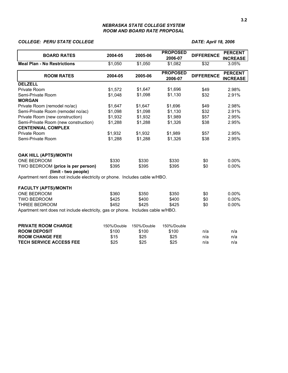#### *NEBRASKA STATE COLLEGE SYSTEM ROOM AND BOARD RATE PROPOSAL*

#### *COLLEGE: PERU STATE COLLEGE DATE: April 18, 2006*

|                                                                                  |             |             | <b>PROPOSED</b>            |                   | <b>PERCENT</b>                    |  |  |
|----------------------------------------------------------------------------------|-------------|-------------|----------------------------|-------------------|-----------------------------------|--|--|
| <b>BOARD RATES</b>                                                               | 2004-05     | 2005-06     | 2006-07                    | <b>DIFFERENCE</b> | <b>INCREASE</b>                   |  |  |
| <b>Meal Plan - No Restrictions</b>                                               | \$1,050     | \$1,050     | \$1,082                    | \$32              | 3.05%                             |  |  |
| <b>ROOM RATES</b>                                                                | 2004-05     | 2005-06     | <b>PROPOSED</b><br>2006-07 | <b>DIFFERENCE</b> | <b>PERCENT</b><br><b>INCREASE</b> |  |  |
| <b>DELZELL</b>                                                                   |             |             |                            |                   |                                   |  |  |
| Private Room                                                                     | \$1,572     | \$1,647     | \$1,696                    | \$49              | 2.98%                             |  |  |
| Semi-Private Room                                                                | \$1,048     | \$1,098     | \$1,130                    | \$32              | 2.91%                             |  |  |
| <b>MORGAN</b>                                                                    |             |             |                            |                   |                                   |  |  |
| Private Room (remodel no/ac)                                                     | \$1,647     | \$1,647     | \$1,696                    | \$49              | 2.98%                             |  |  |
| Semi-Private Room (remodel no/ac)                                                | \$1,098     | \$1,098     | \$1,130                    | \$32              | 2.91%                             |  |  |
| Private Room (new construction)                                                  | \$1,932     | \$1,932     | \$1,989                    | \$57              | 2.95%                             |  |  |
| Semi-Private Room (new construction)                                             | \$1,288     | \$1,288     | \$1,326                    | \$38              | 2.95%                             |  |  |
| <b>CENTENNIAL COMPLEX</b>                                                        |             |             |                            |                   |                                   |  |  |
| Private Room                                                                     | \$1,932     | \$1,932     | \$1,989                    | \$57              | 2.95%                             |  |  |
| Semi-Private Room                                                                | \$1,288     | \$1,288     | \$1,326                    | \$38              | 2.95%                             |  |  |
| OAK HILL (APTS)/MONTH                                                            |             |             |                            |                   |                                   |  |  |
| ONE BEDROOM                                                                      | \$330       | \$330       | \$330                      | \$0               | $0.00\%$                          |  |  |
| TWO BEDROOM (price is per person)<br>(limit - two people)                        | \$395       | \$395       | \$395                      | \$0               | $0.00\%$                          |  |  |
| Apartment rent does not include electricity or phone. Includes cable w/HBO.      |             |             |                            |                   |                                   |  |  |
| <b>FACULTY (APTS)/MONTH</b>                                                      |             |             |                            |                   |                                   |  |  |
| ONE BEDROOM                                                                      | \$360       | \$350       | \$350                      | \$0               | 0.00%                             |  |  |
| <b>TWO BEDROOM</b>                                                               | \$425       | \$400       | \$400                      | \$0               | 0.00%                             |  |  |
| THREE BEDROOM                                                                    | \$452       | \$425       | \$425                      | \$0               | 0.00%                             |  |  |
| Apartment rent does not include electricity, gas or phone. Includes cable w/HBO. |             |             |                            |                   |                                   |  |  |
| <b>PRIVATE ROOM CHARGE</b>                                                       | 150%/Double | 150%/Double | 150%/Double                |                   |                                   |  |  |
| <b>ROOM DEPOSIT</b>                                                              | \$100       | \$100       | \$100                      | n/a               | n/a                               |  |  |
| <b>ROOM CHANGE FEE</b>                                                           | \$15        | \$25        | \$25                       | n/a               | n/a                               |  |  |
| <b>TECH SERVICE ACCESS FEE</b>                                                   | \$25        | \$25        | \$25                       | n/a               | n/a                               |  |  |
|                                                                                  |             |             |                            |                   |                                   |  |  |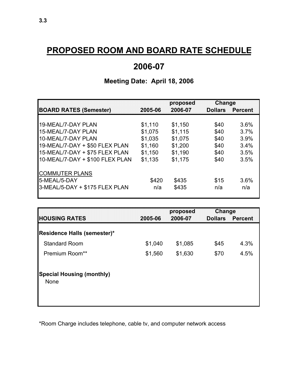## **PROPOSED ROOM AND BOARD RATE SCHEDULE**

## **2006-07**

**Meeting Date: April 18, 2006**

## **proposed Change BOARD RATES (Semester) 2005-06 2006-07 Dollars Percent** 19-MEAL/7-DAY PLAN \$1,110 \$1,150 \$40 3.6% 15-MEAL/7-DAY PLAN \$1,075 \$1,115 \$40 3.7% 10-MEAL/7-DAY PLAN \$1,035 \$1,075 \$40 3.9% 19-MEAL/7-DAY + \$50 FLEX PLAN \$1,160 \$1,200 \$40 3.4% 15-MEAL/7-DAY + \$75 FLEX PLAN \$1,150 \$1,190 \$40 3.5% 10-MEAL/7-DAY + \$100 FLEX PLAN \$1,135 \$1,175 \$40 3.5% COMMUTER PLANS 5-MEAL/5-DAY 6420 \$420 \$435 \$15 3.6% 3-MEAL/5-DAY + \$175 FLEX PLAN n/a \$435 n/a n/a

|                                                 |         | proposed | Change         |         |
|-------------------------------------------------|---------|----------|----------------|---------|
| <b>HOUSING RATES</b>                            | 2005-06 | 2006-07  | <b>Dollars</b> | Percent |
| Residence Halls (semester)*                     |         |          |                |         |
| <b>Standard Room</b>                            | \$1,040 | \$1,085  | \$45           | 4.3%    |
| Premium Room**                                  | \$1,560 | \$1,630  | \$70           | 4.5%    |
| <b>Special Housing (monthly)</b><br><b>None</b> |         |          |                |         |

\*Room Charge includes telephone, cable tv, and computer network access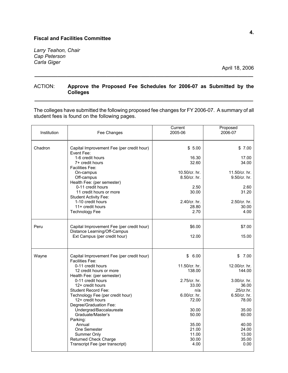*Larry Teahon, Chair Cap Peterson Carla Giger* 

April 18, 2006

#### ACTION: **Approve the Proposed Fee Schedules for 2006-07 as Submitted by the Colleges \_\_\_\_\_\_\_\_\_\_\_\_\_\_\_\_\_\_\_\_\_\_\_\_\_\_\_\_\_\_\_\_\_\_\_\_\_\_\_\_\_\_\_\_\_\_\_\_\_\_\_\_\_\_\_\_\_\_\_\_\_\_\_\_\_\_\_\_\_\_\_\_\_\_\_\_**

**\_\_\_\_\_\_\_\_\_\_\_\_\_\_\_\_\_\_\_\_\_\_\_\_\_\_\_\_\_\_\_\_\_\_\_\_\_\_\_\_\_\_\_\_\_\_\_\_\_\_\_\_\_\_\_\_\_\_\_\_\_\_\_\_\_\_\_\_\_\_\_\_\_\_\_\_** 

The colleges have submitted the following proposed fee changes for FY 2006-07. A summary of all student fees is found on the following pages.

| Institution | Fee Changes                                                                                                                                           | Current<br>2005-06                                    | Proposed<br>2006-07                                             |
|-------------|-------------------------------------------------------------------------------------------------------------------------------------------------------|-------------------------------------------------------|-----------------------------------------------------------------|
| Chadron     | Capital Improvement Fee (per credit hour)<br>Event Fee:                                                                                               | \$5.00                                                | \$7.00                                                          |
|             | 1-6 credit hours<br>7+ credit hours<br><b>Facilities Fee:</b>                                                                                         | 16.30<br>32.60                                        | 17.00<br>34.00                                                  |
|             | On-campus<br>Off-campus<br>Health Fee: (per semester)                                                                                                 | 10.50/cr. hr.<br>8.50/cr. hr.                         | 11.50/cr. hr.<br>9.50/cr. hr.                                   |
|             | 0-11 credit hours<br>11 credit hours or more<br>Student Activity Fee:                                                                                 | 2.50<br>30.00                                         | 2.60<br>31.20                                                   |
|             | 1-10 credit hours<br>11+ credit hours<br><b>Technology Fee</b>                                                                                        | 2.40/cr. hr.<br>28.80<br>2.70                         | 2.50/cr. hr.<br>30.00<br>4.00                                   |
|             |                                                                                                                                                       |                                                       |                                                                 |
| Peru        | Capital Improvement Fee (per credit hour)<br>Distance Learning/Off-Campus                                                                             | \$6.00                                                | \$7.00                                                          |
|             | Ext Campus (per credit hour)                                                                                                                          | 12.00                                                 | 15.00                                                           |
| Wayne       | Capital Improvement Fee (per credit hour)<br><b>Facilities Fee:</b>                                                                                   | \$6.00                                                | \$7.00                                                          |
|             | 0-11 credit hours<br>12 credit hours or more<br>Health Fee: (per semester)                                                                            | 11.50/cr. hr.<br>138.00                               | 12.00/cr. hr.<br>144.00                                         |
|             | 0-11 credit hours<br>12+ credit hours<br><b>Student Record Fee:</b><br>Technology Fee (per credit hour)<br>12+ credit hours<br>Degree/Graduation Fee: | 2.75/cr. hr.<br>33.00<br>n/a<br>6.00/cr. hr.<br>72.00 | $3.00/cr$ . hr.<br>36.00<br>.25/cr/hr.<br>6.50/cr. hr.<br>78.00 |
|             | Undergrad/Baccalaureate<br>Graduate/Master's<br>Parking:                                                                                              | 30.00<br>50.00                                        | 35.00<br>60.00                                                  |
|             | Annual<br>One Semester<br>Summer Only<br><b>Returned Check Charge</b><br>Transcript Fee (per transcript)                                              | 35.00<br>21.00<br>11.00<br>30.00<br>4.00              | 40.00<br>24.00<br>13.00<br>35.00<br>0.00                        |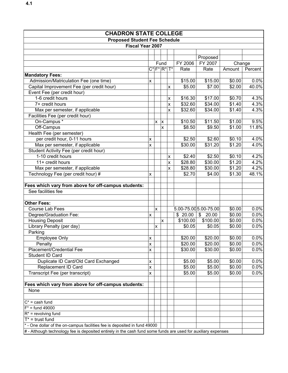| <b>CHADRON STATE COLLEGE</b>                                                                                  |                    |              |                |   |          |                                    |        |         |
|---------------------------------------------------------------------------------------------------------------|--------------------|--------------|----------------|---|----------|------------------------------------|--------|---------|
| <b>Proposed Student Fee Schedule</b>                                                                          |                    |              |                |   |          |                                    |        |         |
| <b>Fiscal Year 2007</b>                                                                                       |                    |              |                |   |          |                                    |        |         |
|                                                                                                               |                    |              |                |   |          |                                    |        |         |
|                                                                                                               |                    |              |                |   |          | Proposed                           |        |         |
|                                                                                                               |                    |              | Fund           |   | FY 2006  | FY 2007                            | Change |         |
|                                                                                                               |                    | $C^*$ $F^*$  | $ R^* T^*$     |   | Rate     | Rate                               | Amount | Percent |
| <b>Mandatory Fees:</b>                                                                                        |                    |              |                |   |          |                                    |        |         |
| Admission/Matriculation Fee (one time)                                                                        | X                  |              |                |   | \$15.00  | \$15.00                            | \$0.00 | 0.0%    |
| Capital Improvement Fee (per credit hour)                                                                     |                    |              |                | X | \$5.00   | \$7.00                             | \$2.00 | 40.0%   |
| Event Fee (per credit hour)                                                                                   |                    |              |                |   |          |                                    |        |         |
| 1-6 credit hours                                                                                              |                    |              |                | X | \$16.30  | \$17.00                            | \$0.70 | 4.3%    |
| 7+ credit hours                                                                                               |                    |              |                | X | \$32.60  | \$34.00                            | \$1.40 | 4.3%    |
| Max per semester, if applicable                                                                               |                    |              |                | X | \$32.60  | \$34.00                            | \$1.40 | 4.3%    |
| Facilities Fee (per credit hour)                                                                              |                    |              |                |   |          |                                    |        |         |
| On-Campus *                                                                                                   |                    | $\mathsf{x}$ | $\pmb{\times}$ |   | \$10.50  | \$11.50                            | \$1.00 | 9.5%    |
| Off-Campus                                                                                                    |                    |              | X              |   | \$8.50   | \$9.50                             | \$1.00 | 11.8%   |
| Health Fee (per semester)                                                                                     |                    |              |                |   |          |                                    |        |         |
| per credit hour, 0-11 hours                                                                                   | X                  |              |                |   | \$2.50   | \$2.60                             | \$0.10 | 4.0%    |
| Max per semester, if applicable                                                                               | $\mathsf{x}$       |              |                |   | \$30.00  | \$31.20                            | \$1.20 | 4.0%    |
| Student Activity Fee (per credit hour)                                                                        |                    |              |                |   |          |                                    |        |         |
| 1-10 credit hours                                                                                             |                    |              |                | х | \$2.40   | \$2.50                             | \$0.10 | 4.2%    |
| 11+ credit hours                                                                                              |                    |              |                | X | \$28.80  | \$30.00                            | \$1.20 | 4.2%    |
| Max per semester, if applicable                                                                               |                    |              |                | X | \$28.80  | \$30.00                            | \$1.20 | 4.2%    |
| Technology Fee (per credit hour) #                                                                            | X                  |              |                |   | \$2.70   | \$4.00                             | \$1.30 | 48.1%   |
|                                                                                                               |                    |              |                |   |          |                                    |        |         |
| Fees which vary from above for off-campus students:                                                           |                    |              |                |   |          |                                    |        |         |
| See facilities fee                                                                                            |                    |              |                |   |          |                                    |        |         |
|                                                                                                               |                    |              |                |   |          |                                    |        |         |
| <b>Other Fees:</b>                                                                                            |                    |              |                |   |          |                                    |        |         |
| Course Lab Fees                                                                                               |                    | $\mathsf{x}$ |                |   |          | 5.00-75.00 5.00-75.00              | \$0.00 | 0.0%    |
| Degree/Graduation Fee:                                                                                        | $\pmb{\times}$     |              |                |   | \$20.00  | $\boldsymbol{\mathsf{S}}$<br>20.00 | \$0.00 | 0.0%    |
| <b>Housing Deposit</b>                                                                                        |                    |              | X              |   | \$100.00 | \$100.00                           | \$0.00 | 0.0%    |
| Library Penalty (per day)                                                                                     |                    | $\mathsf{x}$ |                |   | \$0.05   | \$0.05                             | \$0.00 | 0.0%    |
| Parking                                                                                                       |                    |              |                |   |          |                                    |        |         |
| <b>Employee Only</b>                                                                                          | $\pmb{\times}$     |              |                |   | \$20.00  | \$20.00                            | \$0.00 | 0.0%    |
| Penalty                                                                                                       | X                  |              |                |   | \$20.00  | \$20.00                            | \$0.00 | 0.0%    |
| Placement/Credential Fee                                                                                      | X                  |              |                |   | \$30.00  | \$30.00                            | \$0.00 | 0.0%    |
| Student ID Card                                                                                               |                    |              |                |   |          |                                    |        |         |
| Duplicate ID Card/Old Card Exchanged                                                                          | $\pmb{\mathsf{X}}$ |              |                |   | \$5.00   | \$5.00                             | \$0.00 | 0.0%    |
| Replacement ID Card                                                                                           | X                  |              |                |   | \$5.00   | \$5.00                             | \$0.00 | 0.0%    |
| Transcript Fee (per transcript)                                                                               | $\mathsf{x}$       |              |                |   | \$5.00   | \$5.00                             | \$0.00 | 0.0%    |
|                                                                                                               |                    |              |                |   |          |                                    |        |         |
| Fees which vary from above for off-campus students:                                                           |                    |              |                |   |          |                                    |        |         |
| None                                                                                                          |                    |              |                |   |          |                                    |        |         |
|                                                                                                               |                    |              |                |   |          |                                    |        |         |
| $C^*$ = cash fund                                                                                             |                    |              |                |   |          |                                    |        |         |
| $F^*$ = fund 49000                                                                                            |                    |              |                |   |          |                                    |        |         |
| $R^*$ = revolving fund                                                                                        |                    |              |                |   |          |                                    |        |         |
| $T^*$ = trust fund                                                                                            |                    |              |                |   |          |                                    |        |         |
| * - One dollar of the on-campus facilities fee is deposited in fund 49000                                     |                    |              |                |   |          |                                    |        |         |
| # - Although technology fee is deposited entirely in the cash fund some funds are used for auxiliary expenses |                    |              |                |   |          |                                    |        |         |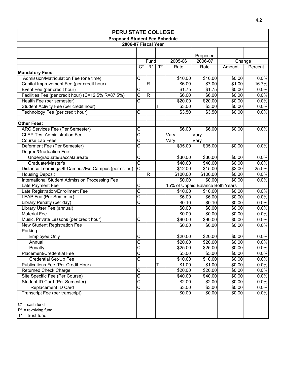| <b>PERU STATE COLLEGE</b>                             |                       |             |       |          |                                  |        |         |  |  |  |
|-------------------------------------------------------|-----------------------|-------------|-------|----------|----------------------------------|--------|---------|--|--|--|
| <b>Proposed Student Fee Schedule</b>                  |                       |             |       |          |                                  |        |         |  |  |  |
| 2006-07 Fiscal Year                                   |                       |             |       |          |                                  |        |         |  |  |  |
|                                                       |                       |             |       |          |                                  |        |         |  |  |  |
|                                                       |                       |             |       |          | Proposed                         |        |         |  |  |  |
|                                                       |                       | Fund        |       | 2005-06  | 2006-07                          | Change |         |  |  |  |
|                                                       | $C^*$                 | $R^*$       | $T^*$ | Rate     | Rate                             | Amount | Percent |  |  |  |
| <b>Mandatory Fees:</b>                                |                       |             |       |          |                                  |        |         |  |  |  |
| Admission/Matriculation Fee (one time)                | С                     |             |       | \$10.00  | \$10.00                          | \$0.00 | 0.0%    |  |  |  |
| Capital Improvement Fee (per credit hour)             |                       | $\mathsf R$ |       | \$6.00   | \$7.00                           | \$1.00 | 16.7%   |  |  |  |
| Event Fee (per credit hour)                           | Ċ                     |             |       | \$1.75   | \$1.75                           | \$0.00 | 0.0%    |  |  |  |
| Facilities Fee (per credit hour) (C=12.5% R=87.5%)    | $\overline{\text{C}}$ | $\mathsf R$ |       | \$6.00   | \$6.00                           | \$0.00 | 0.0%    |  |  |  |
| Health Fee (per semester)                             | $\overline{\text{c}}$ |             |       | \$20.00  | \$20.00                          | \$0.00 | 0.0%    |  |  |  |
| Student Activity Fee (per credit hour)                |                       |             | т     | \$3.00   | \$3.00                           | \$0.00 | 0.0%    |  |  |  |
| Technology Fee (per credit hour)                      | C                     |             |       | \$3.50   | \$3.50                           | \$0.00 | 0.0%    |  |  |  |
|                                                       |                       |             |       |          |                                  |        |         |  |  |  |
| <b>Other Fees:</b>                                    |                       |             |       |          |                                  |        |         |  |  |  |
| ARC Services Fee (Per Semester)                       | C                     |             |       | \$6.00   | \$6.00                           | \$0.00 | 0.0%    |  |  |  |
| <b>CLEP Test Administration Fee</b>                   | $\overline{\text{c}}$ |             |       | Vary     | Vary                             |        |         |  |  |  |
| Course Lab Fees                                       | $\overline{\text{C}}$ |             |       | Vary     | Vary                             |        |         |  |  |  |
| Deferment Fee (Per Semester)                          | $\overline{\text{c}}$ |             |       | \$35.00  | \$35.00                          | \$0.00 | 0.0%    |  |  |  |
| Degree/Graduation Fee:                                |                       |             |       |          |                                  |        |         |  |  |  |
| Undergraduate/Baccalaureate                           | C                     |             |       | \$30.00  | \$30.00                          | \$0.00 | 0.0%    |  |  |  |
| Graduate/Master's                                     | $\overline{\text{c}}$ |             |       | \$40.00  | \$40.00                          | \$0.00 | 0.0%    |  |  |  |
| Distance Learning/Off-Campus/Ext Campus (per cr. hr.) | $\overline{\text{c}}$ |             |       | \$12.00  | \$15.00                          | \$3.00 | 25.0%   |  |  |  |
| <b>Housing Deposit</b>                                |                       | $\mathsf R$ |       | \$100.00 | \$100.00                         | \$0.00 | 0.0%    |  |  |  |
| International Student Admission Processing Fee        |                       |             |       | \$0.00   | \$0.00                           | \$0.00 | 0.0%    |  |  |  |
| Late Payment Fee                                      | C                     |             |       |          | 15% of Unpaid Balance Both Years |        |         |  |  |  |
| Late Registration/Enrollment Fee                      | $\overline{\text{c}}$ |             |       | \$10.00  | \$10.00                          | \$0.00 | 0.0%    |  |  |  |
| LEAP Fee (Per Semester)                               | $\overline{\text{c}}$ |             |       | \$6.00   | \$6.00                           | \$0.00 | 0.0%    |  |  |  |
| Library Penalty (per day)                             | $\overline{\rm c}$    |             |       | \$0.10   | \$0.10                           | \$0.00 | 0.0%    |  |  |  |
| Library User Fee (annual)                             |                       |             |       | \$0.00   | \$0.00                           | \$0.00 | 0.0%    |  |  |  |
| <b>Material Fee</b>                                   |                       |             |       | \$0.00   | \$0.00                           | \$0.00 | 0.0%    |  |  |  |
| Music, Private Lessons (per credit hour)              | С                     |             |       | \$90.00  | \$90.00                          | \$0.00 | 0.0%    |  |  |  |
| New Student Registration Fee                          |                       |             |       | \$0.00   | \$0.00                           | \$0.00 | 0.0%    |  |  |  |
| Parking                                               |                       |             |       |          |                                  |        |         |  |  |  |
| <b>Employee Only</b>                                  | С                     |             |       | \$20.00  | \$20.00                          | \$0.00 | 0.0%    |  |  |  |
| Annual                                                | $\overline{C}$        |             |       | \$20.00  | \$20.00                          | \$0.00 | 0.0%    |  |  |  |
| Penalty                                               | $\overline{\text{c}}$ |             |       | \$25.00  | \$25.00                          | \$0.00 | 0.0%    |  |  |  |
| Placement/Credential Fee                              | $\overline{\text{c}}$ |             |       | \$5.00   | \$5.00                           | \$0.00 | 0.0%    |  |  |  |
| Credential Set-Up Fee                                 | $\overline{\text{c}}$ |             |       | \$10.00  | \$10.00                          | \$0.00 | 0.0%    |  |  |  |
| Publications Fee (Per Credit Hour)                    |                       |             | Т     | \$1.00   | \$1.00                           | \$0.00 | 0.0%    |  |  |  |
| <b>Returned Check Charge</b>                          | C                     |             |       | \$20.00  | \$20.00                          | \$0.00 | 0.0%    |  |  |  |
| Site Specific Fee (Per Course)                        | $\overline{\text{c}}$ |             |       | \$40.00  | \$40.00                          | \$0.00 | 0.0%    |  |  |  |
| Student ID Card (Per Semester)                        | $\overline{\text{C}}$ |             |       | \$2.00   | \$2.00                           | \$0.00 | 0.0%    |  |  |  |
| Replacement ID Card                                   | $\overline{\rm c}$    |             |       | \$3.00   | \$3.00                           | \$0.00 | 0.0%    |  |  |  |
| Transcript Fee (per transcript)                       |                       |             |       | \$0.00   | \$0.00                           | \$0.00 | 0.0%    |  |  |  |
|                                                       |                       |             |       |          |                                  |        |         |  |  |  |
| $C^*$ = cash fund                                     |                       |             |       |          |                                  |        |         |  |  |  |
| $R^*$ = revolving fund                                |                       |             |       |          |                                  |        |         |  |  |  |
| $T^*$ = trust fund                                    |                       |             |       |          |                                  |        |         |  |  |  |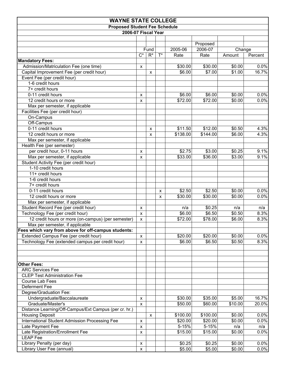| <b>WAYNE STATE COLLEGE</b>                                                                                             |                    |                           |       |                   |                             |                  |               |
|------------------------------------------------------------------------------------------------------------------------|--------------------|---------------------------|-------|-------------------|-----------------------------|------------------|---------------|
| <b>Proposed Student Fee Schedule</b>                                                                                   |                    |                           |       |                   |                             |                  |               |
| 2006-07 Fiscal Year                                                                                                    |                    |                           |       |                   |                             |                  |               |
|                                                                                                                        | $C^*$              | Fund<br>$R^*$             | $T^*$ | 2005-06<br>Rate   | Proposed<br>2006-07<br>Rate | Change<br>Amount | Percent       |
| <b>Mandatory Fees:</b>                                                                                                 |                    |                           |       |                   |                             |                  |               |
| Admission/Matriculation Fee (one time)                                                                                 | X                  |                           |       | \$30.00<br>\$6.00 | \$30.00<br>\$7.00           | \$0.00<br>\$1.00 | 0.0%<br>16.7% |
| Capital Improvement Fee (per credit hour)                                                                              |                    | $\boldsymbol{\mathsf{x}}$ |       |                   |                             |                  |               |
| Event Fee (per credit hour)<br>1-6 credit hours                                                                        |                    |                           |       |                   |                             |                  |               |
|                                                                                                                        |                    |                           |       |                   |                             |                  |               |
| 7+ credit hours                                                                                                        |                    |                           |       |                   |                             |                  |               |
| 0-11 credit hours                                                                                                      | $\pmb{\times}$     |                           |       | \$6.00            | \$6.00                      | \$0.00           | 0.0%          |
| 12 credit hours or more                                                                                                | $\pmb{\times}$     |                           |       | \$72.00           | \$72.00                     | \$0.00           | 0.0%          |
| Max per semester, if applicable                                                                                        |                    |                           |       |                   |                             |                  |               |
| Facilities Fee (per credit hour)                                                                                       |                    |                           |       |                   |                             |                  |               |
| On-Campus                                                                                                              |                    |                           |       |                   |                             |                  |               |
| Off-Campus                                                                                                             |                    |                           |       |                   |                             |                  |               |
| 0-11 credit hours                                                                                                      |                    | X                         |       | \$11.50           | \$12.00                     | \$0.50           | 4.3%          |
| 12 credit hours or more                                                                                                |                    | X                         |       | \$138.00          | \$144.00                    | \$6.00           | 4.3%          |
| Max per semester, if applicable                                                                                        |                    |                           |       |                   |                             |                  |               |
| Health Fee (per semester)                                                                                              |                    |                           |       |                   |                             |                  |               |
| per credit hour, 0-11 hours                                                                                            | $\pmb{\times}$     |                           |       | \$2.75            | \$3.00                      | \$0.25           | 9.1%          |
| Max per semester, if applicable                                                                                        | $\pmb{\times}$     |                           |       | \$33.00           | \$36.00                     | \$3.00           | 9.1%          |
| Student Activity Fee (per credit hour)<br>1-10 credit hours<br>11+ credit hours<br>1-6 credit hours<br>7+ credit hours |                    |                           |       |                   |                             |                  |               |
| 0-11 credit hours                                                                                                      |                    |                           | X     | \$2.50            | \$2.50                      | \$0.00           | 0.0%          |
| 12 credit hours or more                                                                                                |                    |                           | X     | \$30.00           | \$30.00                     | \$0.00           | 0.0%          |
| Max per semester, if applicable                                                                                        |                    |                           |       |                   |                             |                  |               |
| Student Record Fee (per credit hour)                                                                                   | X                  |                           |       | n/a               | \$0.25                      | n/a              | n/a           |
| Technology Fee (per credit hour)                                                                                       | $\pmb{\times}$     |                           |       | \$6.00            | \$6.50                      | \$0.50           | 8.3%          |
| 12 credit hours or more (on-campus) (per semester)                                                                     | $\pmb{\times}$     |                           |       | \$72.00           | \$78.00                     | \$6.00           | 8.3%          |
| Max per semester, if applicable                                                                                        |                    |                           |       |                   |                             |                  |               |
| Fees which vary from above for off-campus students:                                                                    |                    |                           |       |                   |                             |                  |               |
| Extended Campus Fee (per credit hour)                                                                                  | $\pmb{\chi}$       |                           |       | \$20.00           | \$20.00                     | \$0.00           | 0.0%          |
| Technology Fee (extended campus per credit hour)                                                                       | $\pmb{\chi}$       |                           |       | \$6.00            | \$6.50                      | \$0.50           | 8.3%          |
|                                                                                                                        |                    |                           |       |                   |                             |                  |               |
| <b>Other Fees:</b>                                                                                                     |                    |                           |       |                   |                             |                  |               |
| <b>ARC Services Fee</b>                                                                                                |                    |                           |       |                   |                             |                  |               |
| <b>CLEP Test Administration Fee</b>                                                                                    |                    |                           |       |                   |                             |                  |               |
| Course Lab Fees                                                                                                        |                    |                           |       |                   |                             |                  |               |
| Deferment Fee                                                                                                          |                    |                           |       |                   |                             |                  |               |
| Degree/Graduation Fee:                                                                                                 |                    |                           |       |                   |                             |                  |               |
| Undergraduate/Baccalaureate                                                                                            | $\pmb{\times}$     |                           |       | \$30.00           | \$35.00                     | \$5.00           | 16.7%         |
| Graduate/Master's                                                                                                      | $\pmb{\chi}$       |                           |       | \$50.00           | \$60.00                     | \$10.00          | 20.0%         |
| Distance Learning/Off-Campus/Ext Campus (per cr. hr.)                                                                  |                    |                           |       |                   |                             |                  |               |
| <b>Housing Deposit</b>                                                                                                 |                    | X                         |       | \$100.00          | \$100.00                    | \$0.00           | 0.0%          |
| International Student Admission Processing Fee                                                                         | $\pmb{\times}$     |                           |       | \$20.00           | \$20.00                     | \$0.00           | 0.0%          |
| Late Payment Fee                                                                                                       | $\pmb{\times}$     |                           |       | 5-15%             | 5-15%                       | n/a              | n/a           |
| Late Registration/Enrollment Fee                                                                                       | X                  |                           |       | \$15.00           | \$15.00                     | \$0.00           | 0.0%          |
| <b>LEAP Fee</b>                                                                                                        |                    |                           |       |                   |                             |                  |               |
| Library Penalty (per day)                                                                                              | $\pmb{\chi}$       |                           |       | \$0.25            | \$0.25                      | \$0.00           | 0.0%          |
| Library User Fee (annual)                                                                                              | $\pmb{\mathsf{x}}$ |                           |       | \$5.00            | \$5.00                      | \$0.00           | 0.0%          |
|                                                                                                                        |                    |                           |       |                   |                             |                  |               |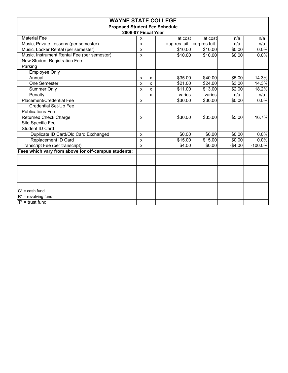| <b>WAYNE STATE COLLEGE</b>                          |              |                                        |         |         |          |            |  |  |  |  |
|-----------------------------------------------------|--------------|----------------------------------------|---------|---------|----------|------------|--|--|--|--|
| <b>Proposed Student Fee Schedule</b>                |              |                                        |         |         |          |            |  |  |  |  |
| 2006-07 Fiscal Year                                 |              |                                        |         |         |          |            |  |  |  |  |
| <b>Material Fee</b>                                 | X            |                                        | at cost | at cost | n/a      | n/a        |  |  |  |  |
| Music, Private Lessons (per semester)               | X            | $=$ ug res tuit<br>=ug res tuit<br>n/a |         |         |          | n/a        |  |  |  |  |
| Music, Locker Rental (per semester)                 | X            |                                        | \$10.00 | \$10.00 | \$0.00   | 0.0%       |  |  |  |  |
| Music, Instrument Rental Fee (per semester)         | X            |                                        | \$10.00 | \$10.00 | \$0.00   | 0.0%       |  |  |  |  |
| New Student Registration Fee                        |              |                                        |         |         |          |            |  |  |  |  |
| Parking                                             |              |                                        |         |         |          |            |  |  |  |  |
| <b>Employee Only</b>                                |              |                                        |         |         |          |            |  |  |  |  |
| Annual                                              | x            | X                                      | \$35.00 | \$40.00 | \$5.00   | 14.3%      |  |  |  |  |
| One Semester                                        | X            | $\mathsf{x}$                           | \$21.00 | \$24.00 | \$3.00   | 14.3%      |  |  |  |  |
| Summer Only                                         | X            | $\mathsf{x}$                           | \$11.00 | \$13.00 | \$2.00   | 18.2%      |  |  |  |  |
| Penalty                                             |              | X                                      | varies  | varies  | n/a      | n/a        |  |  |  |  |
| Placement/Credential Fee                            | X            |                                        | \$30.00 | \$30.00 | \$0.00   | 0.0%       |  |  |  |  |
| Credential Set-Up Fee                               |              |                                        |         |         |          |            |  |  |  |  |
| <b>Publications Fee</b>                             |              |                                        |         |         |          |            |  |  |  |  |
| <b>Returned Check Charge</b>                        | X            |                                        | \$30.00 | \$35.00 | \$5.00   | 16.7%      |  |  |  |  |
| Site Specific Fee                                   |              |                                        |         |         |          |            |  |  |  |  |
| Student ID Card                                     |              |                                        |         |         |          |            |  |  |  |  |
| Duplicate ID Card/Old Card Exchanged                | X            |                                        | \$0.00  | \$0.00  | \$0.00   | 0.0%       |  |  |  |  |
| Replacement ID Card                                 | x            |                                        | \$15.00 | \$15.00 | \$0.00   | 0.0%       |  |  |  |  |
| Transcript Fee (per transcript)                     | $\mathsf{x}$ |                                        | \$4.00  | \$0.00  | $-$4.00$ | $-100.0\%$ |  |  |  |  |
| Fees which vary from above for off-campus students: |              |                                        |         |         |          |            |  |  |  |  |
|                                                     |              |                                        |         |         |          |            |  |  |  |  |
|                                                     |              |                                        |         |         |          |            |  |  |  |  |
|                                                     |              |                                        |         |         |          |            |  |  |  |  |
|                                                     |              |                                        |         |         |          |            |  |  |  |  |
|                                                     |              |                                        |         |         |          |            |  |  |  |  |
|                                                     |              |                                        |         |         |          |            |  |  |  |  |
| $C^*$ = cash fund                                   |              |                                        |         |         |          |            |  |  |  |  |
| $R^*$ = revolving fund                              |              |                                        |         |         |          |            |  |  |  |  |
| $T^*$ = trust fund                                  |              |                                        |         |         |          |            |  |  |  |  |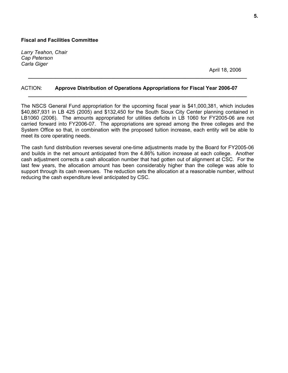*Larry Teahon, Chair Cap Peterson Carla Giger* 

April 18, 2006

#### ACTION: **Approve Distribution of Operations Appropriations for Fiscal Year 2006-07**

The NSCS General Fund appropriation for the upcoming fiscal year is \$41,000,381, which includes \$40,867,931 in LB 425 (2005) and \$132,450 for the South Sioux City Center planning contained in LB1060 (2006). The amounts appropriated for utilities deficits in LB 1060 for FY2005-06 are not carried forward into FY2006-07. The appropriations are spread among the three colleges and the System Office so that, in combination with the proposed tuition increase, each entity will be able to meet its core operating needs.

**\_\_\_\_\_\_\_\_\_\_\_\_\_\_\_\_\_\_\_\_\_\_\_\_\_\_\_\_\_\_\_\_\_\_\_\_\_\_\_\_\_\_\_\_\_\_\_\_\_\_\_\_\_\_\_\_\_\_\_\_\_\_\_\_\_\_\_\_\_\_\_\_\_\_\_\_** 

**\_\_\_\_\_\_\_\_\_\_\_\_\_\_\_\_\_\_\_\_\_\_\_\_\_\_\_\_\_\_\_\_\_\_\_\_\_\_\_\_\_\_\_\_\_\_\_\_\_\_\_\_\_\_\_\_\_\_\_\_\_\_\_\_\_\_\_\_\_\_\_\_\_\_\_\_** 

The cash fund distribution reverses several one-time adjustments made by the Board for FY2005-06 and builds in the net amount anticipated from the 4.86% tuition increase at each college. Another cash adjustment corrects a cash allocation number that had gotten out of alignment at CSC. For the last few years, the allocation amount has been considerably higher than the college was able to support through its cash revenues. The reduction sets the allocation at a reasonable number, without reducing the cash expenditure level anticipated by CSC.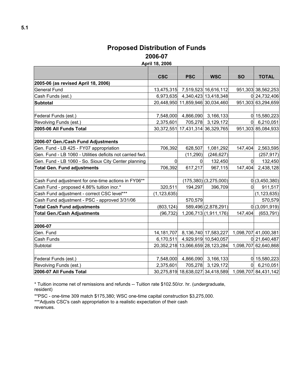### **Proposed Distribution of Funds 2006-07**

**April 18, 2006** 

|                                                           | <b>CSC</b>     | <b>PSC</b>                     | <b>WSC</b>                                            | <b>SO</b>      | <b>TOTAL</b>         |
|-----------------------------------------------------------|----------------|--------------------------------|-------------------------------------------------------|----------------|----------------------|
| 2005-06 (as revised April 18, 2006)                       |                |                                |                                                       |                |                      |
| <b>General Fund</b>                                       |                |                                | 13,475,315 7,519,523 16,616,112                       |                | 951,303 38,562,253   |
| Cash Funds (est.)                                         |                |                                | 6,973,635 4,340,423 13,418,348                        |                | 0 24,732,406         |
| <b>Subtotal</b>                                           |                |                                | 20,448,950 11,859,946 30,034,460                      |                | 951,303 63,294,659   |
|                                                           |                |                                |                                                       |                |                      |
| Federal Funds (est.)                                      |                |                                | 7,548,000 4,866,090 3,166,133                         |                | 0 15,580,223         |
| Revolving Funds (est.)                                    | 2,375,601      | 705,278                        | 3,129,172                                             |                | $0$ 6,210,051        |
| 2005-06 All Funds Total                                   |                |                                | 30, 372, 551 17, 431, 314 36, 329, 765                |                | 951,303 85,084,933   |
|                                                           |                |                                |                                                       |                |                      |
| 2006-07 Gen./Cash Fund Adjustments                        |                |                                |                                                       |                |                      |
| Gen. Fund - LB 425 - FY07 appropriation                   | 706,392        | 628,507                        | 1,081,292                                             | 147,404        | 2,563,595            |
| Gen. Fund - LB 1060 - Utilities deficits not carried fwd. |                | (11, 290)                      | (246, 627)                                            |                | (257, 917)           |
| Gen. Fund - LB 1060 - So. Sioux City Center planning      | $\overline{0}$ | 0                              | 132,450                                               | $\overline{0}$ | 132,450              |
| <b>Total Gen. Fund adjustments</b>                        | 706,392        | 617,217                        | 967,115                                               | 147,404        | 2,438,128            |
|                                                           |                |                                |                                                       |                |                      |
| Cash Fund adjustment for one-time actions in FY06**       |                |                                | (175,380)(3,275,000)                                  |                | 0(3,450,380)         |
| Cash Fund - proposed 4.86% tuition incr.*                 | 320,511        | 194,297                        | 396,709                                               | 01             | 911,517              |
| Cash Fund adjustment - correct CSC level***               | (1, 123, 635)  |                                |                                                       |                | (1, 123, 635)        |
| Cash Fund adjustment - PSC - approved 3/31/06             |                | 570,579                        |                                                       |                | 570,579              |
| <b>Total Cash Fund adjustments</b>                        | (803, 124)     |                                | 589,496 (2,878,291)                                   |                | 0(3,091,919)         |
| <b>Total Gen./Cash Adjustments</b>                        | (96, 732)      |                                | 1,206,713 (1,911,176)                                 | 147,404        | (653, 791)           |
|                                                           |                |                                |                                                       |                |                      |
| 2006-07                                                   |                |                                |                                                       |                |                      |
| Gen. Fund                                                 |                |                                | 14, 181, 707 8, 136, 740 17, 583, 227                 |                | 1,098,707 41,000,381 |
| Cash Funds                                                |                | 6,170,511 4,929,919 10,540,057 |                                                       |                | 0 21,640,487         |
| Subtotal                                                  |                |                                | 20,352,218 13,066,659 28,123,284                      |                | 1,098,707 62,640,868 |
|                                                           |                |                                |                                                       |                |                      |
| Federal Funds (est.)                                      |                |                                | 7,548,000 4,866,090 3,166,133                         |                | 0 15,580,223         |
| Revolving Funds (est.)                                    | 2,375,601      | 705,278                        | 3,129,172                                             |                | 0  6,210,051         |
| 2006-07 All Funds Total                                   |                |                                | 30,275,819 18,638,027 34,418,589 1,098,707 84,431,142 |                |                      |

\* Tuition income net of remissions and refunds -- Tuition rate \$102.50/cr. hr. (undergraduate, resident)

\*\*PSC - one-time 309 match \$175,380; WSC one-time capital construction \$3,275,000.

\*\*\*Adjusts CSC's cash appropriation to a realistic expectation of their cash revenues.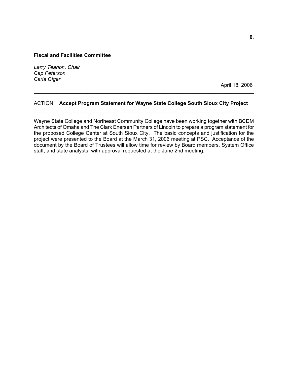*Larry Teahon, Chair Cap Peterson Carla Giger* 

April 18, 2006

#### ACTION: **Accept Program Statement for Wayne State College South Sioux City Project \_\_\_\_\_\_\_\_\_\_\_\_\_\_\_\_\_\_\_\_\_\_\_\_\_\_\_\_\_\_\_\_\_\_\_\_\_\_\_\_\_\_\_\_\_\_\_\_\_\_\_\_\_\_\_\_\_\_\_\_\_\_\_\_\_\_\_\_\_\_\_\_\_\_\_\_\_\_**

**\_\_\_\_\_\_\_\_\_\_\_\_\_\_\_\_\_\_\_\_\_\_\_\_\_\_\_\_\_\_\_\_\_\_\_\_\_\_\_\_\_\_\_\_\_\_\_\_\_\_\_\_\_\_\_\_\_\_\_\_\_\_\_\_\_\_\_\_\_\_\_\_\_\_\_\_\_\_** 

Wayne State College and Northeast Community College have been working together with BCDM Architects of Omaha and The Clark Enersen Partners of Lincoln to prepare a program statement for the proposed College Center at South Sioux City. The basic concepts and justification for the project were presented to the Board at the March 31, 2006 meeting at PSC. Acceptance of the document by the Board of Trustees will allow time for review by Board members, System Office staff, and state analysts, with approval requested at the June 2nd meeting.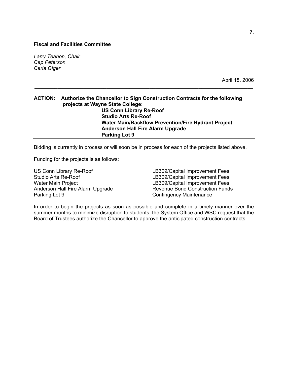*Larry Teahon, Chair Cap Peterson Carla Giger* 

April 18, 2006

#### **ACTION: Authorize the Chancellor to Sign Construction Contracts for the following projects at Wayne State College: US Conn Library Re-Roof Studio Arts Re-Roof Water Main/Backflow Prevention/Fire Hydrant Project Anderson Hall Fire Alarm Upgrade Parking Lot 9**

**\_\_\_\_\_\_\_\_\_\_\_\_\_\_\_\_\_\_\_\_\_\_\_\_\_\_\_\_\_\_\_\_\_\_\_\_\_\_\_\_\_\_\_\_\_\_\_\_\_\_\_\_\_\_\_\_\_\_\_\_\_\_\_\_\_\_\_\_\_\_\_\_\_\_\_\_** 

Bidding is currently in process or will soon be in process for each of the projects listed above.

Funding for the projects is as follows:

Studio Arts Re-Roof **LB309** Capital Improvement Fees Water Main Project **LB309/Capital Improvement Fees** Parking Lot 9 Contingency Maintenance

US Conn Library Re-Roof **LEGAL LACK LEGAL LEGAL LEGAL LACK LEGAL LACK LEGAL LEGAL LEGAL LEGAL LEGAL LEGAL LEGA** Anderson Hall Fire Alarm Upgrade Revenue Bond Construction Funds

In order to begin the projects as soon as possible and complete in a timely manner over the summer months to minimize disruption to students, the System Office and WSC request that the Board of Trustees authorize the Chancellor to approve the anticipated construction contracts